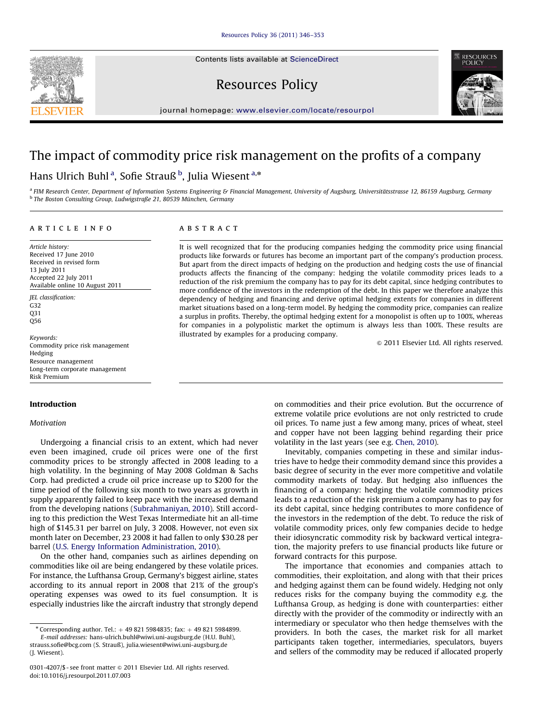Contents lists available at ScienceDirect







journal homepage: <www.elsevier.com/locate/resourpol>

# The impact of commodity price risk management on the profits of a company

# Hans Ulrich Buhl<sup>a</sup>, Sofie Strauß <sup>b</sup>, Julia Wiesent <sup>a,</sup>\*

<sup>a</sup> FIM Research Center, Department of Information Systems Engineering & Financial Management, University of Augsburg, Universitätsstrasse 12, 86159 Augsburg, Germany <sup>b</sup> The Boston Consulting Group, Ludwigstraße 21, 80539 München, Germany

# article info

Article history: Received 17 June 2010 Received in revised form 13 July 2011 Accepted 22 July 2011 Available online 10 August 2011

JEL classification: G32 Q31 Q56

Keywords: Commodity price risk management Hedging Resource management Long-term corporate management Risk Premium

# Introduction

# Motivation

Undergoing a financial crisis to an extent, which had never even been imagined, crude oil prices were one of the first commodity prices to be strongly affected in 2008 leading to a high volatility. In the beginning of May 2008 Goldman & Sachs Corp. had predicted a crude oil price increase up to \$200 for the time period of the following six month to two years as growth in supply apparently failed to keep pace with the increased demand from the developing nations ([Subrahmaniyan, 2010](#page--1-0)). Still according to this prediction the West Texas Intermediate hit an all-time high of \$145.31 per barrel on July, 3 2008. However, not even six month later on December, 23 2008 it had fallen to only \$30.28 per barrel [\(U.S. Energy Information Administration, 2010](#page--1-0)).

On the other hand, companies such as airlines depending on commodities like oil are being endangered by these volatile prices. For instance, the Lufthansa Group, Germany's biggest airline, states according to its annual report in 2008 that 21% of the group's operating expenses was owed to its fuel consumption. It is especially industries like the aircraft industry that strongly depend

# **ABSTRACT**

It is well recognized that for the producing companies hedging the commodity price using financial products like forwards or futures has become an important part of the company's production process. But apart from the direct impacts of hedging on the production and hedging costs the use of financial products affects the financing of the company: hedging the volatile commodity prices leads to a reduction of the risk premium the company has to pay for its debt capital, since hedging contributes to more confidence of the investors in the redemption of the debt. In this paper we therefore analyze this dependency of hedging and financing and derive optimal hedging extents for companies in different market situations based on a long-term model. By hedging the commodity price, companies can realize a surplus in profits. Thereby, the optimal hedging extent for a monopolist is often up to 100%, whereas for companies in a polypolistic market the optimum is always less than 100%. These results are illustrated by examples for a producing company.

 $@$  2011 Elsevier Ltd. All rights reserved.

on commodities and their price evolution. But the occurrence of extreme volatile price evolutions are not only restricted to crude oil prices. To name just a few among many, prices of wheat, steel and copper have not been lagging behind regarding their price volatility in the last years (see e.g. [Chen, 2010](#page--1-0)).

Inevitably, companies competing in these and similar industries have to hedge their commodity demand since this provides a basic degree of security in the ever more competitive and volatile commodity markets of today. But hedging also influences the financing of a company: hedging the volatile commodity prices leads to a reduction of the risk premium a company has to pay for its debt capital, since hedging contributes to more confidence of the investors in the redemption of the debt. To reduce the risk of volatile commodity prices, only few companies decide to hedge their idiosyncratic commodity risk by backward vertical integration, the majority prefers to use financial products like future or forward contracts for this purpose.

The importance that economies and companies attach to commodities, their exploitation, and along with that their prices and hedging against them can be found widely. Hedging not only reduces risks for the company buying the commodity e.g. the Lufthansa Group, as hedging is done with counterparties: either directly with the provider of the commodity or indirectly with an intermediary or speculator who then hedge themselves with the providers. In both the cases, the market risk for all market participants taken together, intermediaries, speculators, buyers and sellers of the commodity may be reduced if allocated properly

 $*$  Corresponding author. Tel.:  $+$  49 821 5984835; fax:  $+$  49 821 5984899.

E-mail addresses: [hans-ulrich.buhl@wiwi.uni-augsburg.de \(H.U. Buhl\)](mailto:hans-ulrich.buhl@wiwi.uni-augsburg.de), [strauss.sofie@bcg.com \(S. Strauß\)](mailto:strauss.sofie@bcg.com), [julia.wiesent@wiwi.uni-augsburg.de](mailto:julia.wiesent@wiwi.uni-augsburg.de) [\(J. Wiesent\).](mailto:julia.wiesent@wiwi.uni-augsburg.de)

<sup>0301-4207/\$ -</sup> see front matter  $\odot$  2011 Elsevier Ltd. All rights reserved. doi:[10.1016/j.resourpol.2011.07.003](dx.doi.org/10.1016/j.resourpol.2011.07.003)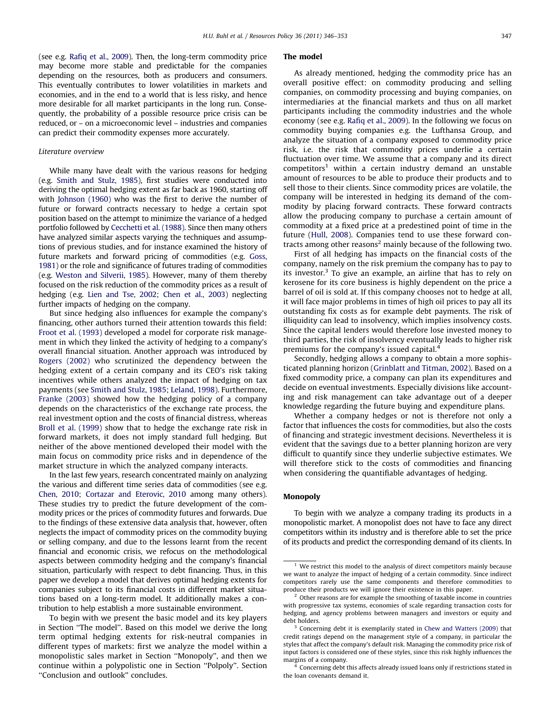(see e.g. [Rafiq et al., 2009](#page--1-0)). Then, the long-term commodity price may become more stable and predictable for the companies depending on the resources, both as producers and consumers. This eventually contributes to lower volatilities in markets and economies, and in the end to a world that is less risky, and hence more desirable for all market participants in the long run. Consequently, the probability of a possible resource price crisis can be reduced, or – on a microeconomic level – industries and companies can predict their commodity expenses more accurately.

## Literature overview

While many have dealt with the various reasons for hedging (e.g. [Smith and Stulz, 1985\)](#page--1-0), first studies were conducted into deriving the optimal hedging extent as far back as 1960, starting off with [Johnson \(1960\)](#page--1-0) who was the first to derive the number of future or forward contracts necessary to hedge a certain spot position based on the attempt to minimize the variance of a hedged portfolio followed by [Cecchetti et al. \(1988\).](#page--1-0) Since then many others have analyzed similar aspects varying the techniques and assumptions of previous studies, and for instance examined the history of future markets and forward pricing of commodities (e.g. [Goss,](#page--1-0) [1981](#page--1-0)) or the role and significance of futures trading of commodities (e.g. [Weston and Silverii, 1985\)](#page--1-0). However, many of them thereby focused on the risk reduction of the commodity prices as a result of hedging (e.g. [Lien and Tse, 2002](#page--1-0); [Chen et al., 2003\)](#page--1-0) neglecting further impacts of hedging on the company.

But since hedging also influences for example the company's financing, other authors turned their attention towards this field: [Froot et al. \(1993\)](#page--1-0) developed a model for corporate risk management in which they linked the activity of hedging to a company's overall financial situation. Another approach was introduced by [Rogers \(2002\)](#page--1-0) who scrutinized the dependency between the hedging extent of a certain company and its CEO's risk taking incentives while others analyzed the impact of hedging on tax payments (see [Smith and Stulz, 1985;](#page--1-0) [Leland, 1998](#page--1-0)). Furthermore, [Franke \(2003\)](#page--1-0) showed how the hedging policy of a company depends on the characteristics of the exchange rate process, the real investment option and the costs of financial distress, whereas [Broll et al. \(1999\)](#page--1-0) show that to hedge the exchange rate risk in forward markets, it does not imply standard full hedging. But neither of the above mentioned developed their model with the main focus on commodity price risks and in dependence of the market structure in which the analyzed company interacts.

In the last few years, research concentrated mainly on analyzing the various and different time series data of commodities (see e.g. [Chen, 2010;](#page--1-0) [Cortazar and Eterovic, 2010](#page--1-0) among many others). These studies try to predict the future development of the commodity prices or the prices of commodity futures and forwards. Due to the findings of these extensive data analysis that, however, often neglects the impact of commodity prices on the commodity buying or selling company, and due to the lessons learnt from the recent financial and economic crisis, we refocus on the methodological aspects between commodity hedging and the company's financial situation, particularly with respect to debt financing. Thus, in this paper we develop a model that derives optimal hedging extents for companies subject to its financial costs in different market situations based on a long-term model. It additionally makes a contribution to help establish a more sustainable environment.

To begin with we present the basic model and its key players in Section ''The model''. Based on this model we derive the long term optimal hedging extents for risk-neutral companies in different types of markets: first we analyze the model within a monopolistic sales market in Section ''Monopoly'', and then we continue within a polypolistic one in Section ''Polpoly''. Section ''Conclusion and outlook'' concludes.

#### The model

As already mentioned, hedging the commodity price has an overall positive effect: on commodity producing and selling companies, on commodity processing and buying companies, on intermediaries at the financial markets and thus on all market participants including the commodity industries and the whole economy (see e.g. [Rafiq et al., 2009\)](#page--1-0). In the following we focus on commodity buying companies e.g. the Lufthansa Group, and analyze the situation of a company exposed to commodity price risk, i.e. the risk that commodity prices underlie a certain fluctuation over time. We assume that a company and its direct  $competitors<sup>1</sup>$  within a certain industry demand an unstable amount of resources to be able to produce their products and to sell those to their clients. Since commodity prices are volatile, the company will be interested in hedging its demand of the commodity by placing forward contracts. These forward contracts allow the producing company to purchase a certain amount of commodity at a fixed price at a predestined point of time in the future ([Hull, 2008\)](#page--1-0). Companies tend to use these forward contracts among other reasons<sup>2</sup> mainly because of the following two.

First of all hedging has impacts on the financial costs of the company, namely on the risk premium the company has to pay to its investor.<sup>3</sup> To give an example, an airline that has to rely on kerosene for its core business is highly dependent on the price a barrel of oil is sold at. If this company chooses not to hedge at all, it will face major problems in times of high oil prices to pay all its outstanding fix costs as for example debt payments. The risk of illiquidity can lead to insolvency, which implies insolvency costs. Since the capital lenders would therefore lose invested money to third parties, the risk of insolvency eventually leads to higher risk premiums for the company's issued capital.<sup>4</sup>

Secondly, hedging allows a company to obtain a more sophisticated planning horizon ([Grinblatt and Titman, 2002\)](#page--1-0). Based on a fixed commodity price, a company can plan its expenditures and decide on eventual investments. Especially divisions like accounting and risk management can take advantage out of a deeper knowledge regarding the future buying and expenditure plans.

Whether a company hedges or not is therefore not only a factor that influences the costs for commodities, but also the costs of financing and strategic investment decisions. Nevertheless it is evident that the savings due to a better planning horizon are very difficult to quantify since they underlie subjective estimates. We will therefore stick to the costs of commodities and financing when considering the quantifiable advantages of hedging.

### Monopoly

To begin with we analyze a company trading its products in a monopolistic market. A monopolist does not have to face any direct competitors within its industry and is therefore able to set the price of its products and predict the corresponding demand of its clients. In

<sup>&</sup>lt;sup>1</sup> We restrict this model to the analysis of direct competitors mainly because we want to analyze the impact of hedging of a certain commodity. Since indirect competitors rarely use the same components and therefore commodities to produce their products we will ignore their existence in this paper.

 $2$  Other reasons are for example the smoothing of taxable income in countries with progressive tax systems, economies of scale regarding transaction costs for hedging, and agency problems between managers and investors or equity and debt holders.

<sup>&</sup>lt;sup>3</sup> Concerning debt it is exemplarily stated in [Chew and Watters \(2009\)](#page--1-0) that credit ratings depend on the management style of a company, in particular the styles that affect the company's default risk. Managing the commodity price risk of input factors is considered one of these styles, since this risk highly influences the margins of a company.

 $\frac{4}{4}$  Concerning debt this affects already issued loans only if restrictions stated in the loan covenants demand it.